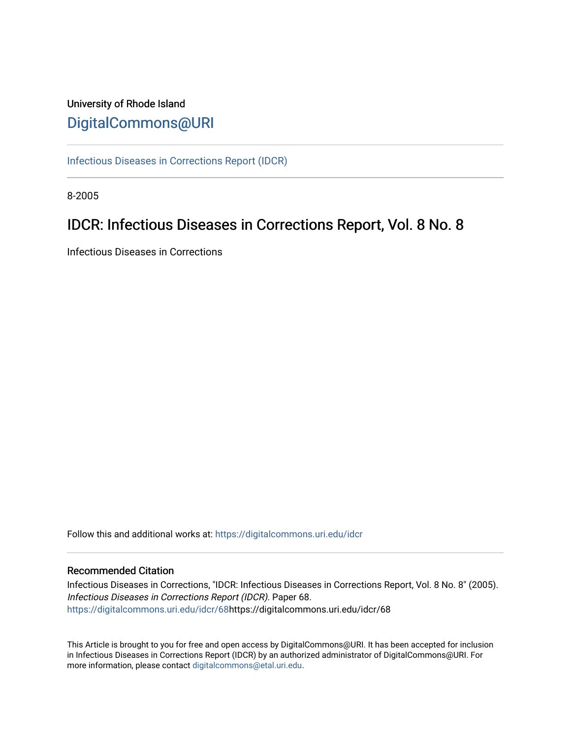# University of Rhode Island [DigitalCommons@URI](https://digitalcommons.uri.edu/)

[Infectious Diseases in Corrections Report \(IDCR\)](https://digitalcommons.uri.edu/idcr)

8-2005

# IDCR: Infectious Diseases in Corrections Report, Vol. 8 No. 8

Infectious Diseases in Corrections

Follow this and additional works at: [https://digitalcommons.uri.edu/idcr](https://digitalcommons.uri.edu/idcr?utm_source=digitalcommons.uri.edu%2Fidcr%2F68&utm_medium=PDF&utm_campaign=PDFCoverPages)

### Recommended Citation

Infectious Diseases in Corrections, "IDCR: Infectious Diseases in Corrections Report, Vol. 8 No. 8" (2005). Infectious Diseases in Corrections Report (IDCR). Paper 68. [https://digitalcommons.uri.edu/idcr/68h](https://digitalcommons.uri.edu/idcr/68?utm_source=digitalcommons.uri.edu%2Fidcr%2F68&utm_medium=PDF&utm_campaign=PDFCoverPages)ttps://digitalcommons.uri.edu/idcr/68

This Article is brought to you for free and open access by DigitalCommons@URI. It has been accepted for inclusion in Infectious Diseases in Corrections Report (IDCR) by an authorized administrator of DigitalCommons@URI. For more information, please contact [digitalcommons@etal.uri.edu.](mailto:digitalcommons@etal.uri.edu)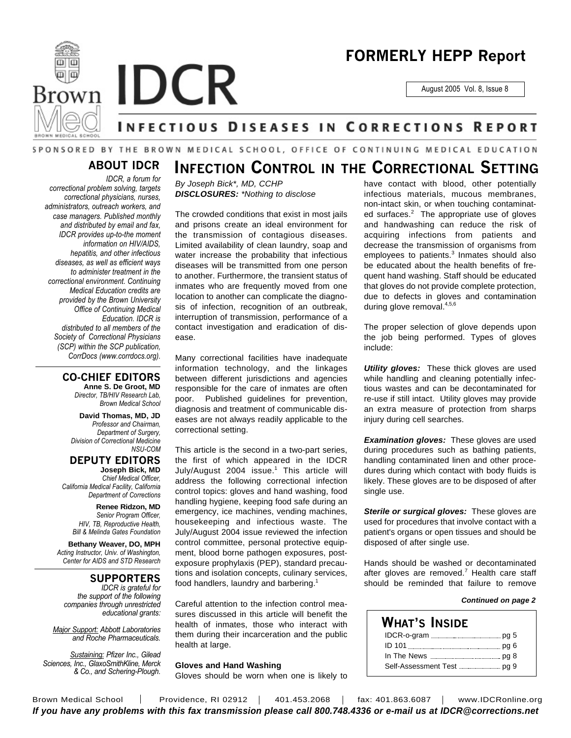

August 2005 Vol. 8, Issue 8



# **Brown IDCR**

# NFECTIOUS DISEASES IN CORRECTIONS REPORT

### SPONSORED BY THE BROWN MEDICAL SCHOOL, OFFICE OF CONTINUING MEDICAL EDUCATION

### **ABOUT IDCR**

*IDCR, a forum for correctional problem solving, targets correctional physicians, nurses, administrators, outreach workers, and case managers. Published monthly and distributed by email and fax, IDCR provides up-to-the moment information on HIV/AIDS, hepatitis, and other infectious diseases, as well as efficient ways to administer treatment in the correctional environment. Continuing Medical Education credits are provided by the Brown University Office of Continuing Medical Education. IDCR is distributed to all members of the Society of Correctional Physicians (SCP) within the SCP publication, CorrDocs (www.corrdocs.org).*

### **CO-CHIEF EDITORS**

**Anne S. De Groot, MD** *Director, TB/HIV Research Lab, Brown Medical School*

**David Thomas, MD, JD** *Professor and Chairman, Department of Surgery, Division of Correctional Medicine NSU-COM*

**DEPUTY EDITORS Joseph Bick, MD**

*Chief Medical Officer, California Medical Facility, California Department of Corrections*

**Renee Ridzon, MD** *Senior Program Officer, HIV, TB, Reproductive Health, Bill & Melinda Gates Foundation*

**Bethany Weaver, DO, MPH** *Acting Instructor, Univ. of Washington, Center for AIDS and STD Research*

### **SUPPORTERS**

*IDCR is grateful for the support of the following companies through unrestricted educational grants:*

*Major Support: Abbott Laboratories and Roche Pharmaceuticals.*

*Sustaining: Pfizer Inc., Gilead Sciences, Inc., GlaxoSmithKline, Merck & Co., and Schering-Plough.*

# **INFECTION CONTROL IN THE CORRECTIONAL SETTING**

*By Joseph Bick\*, MD, CCHP DISCLOSURES: \*Nothing to disclose*

The crowded conditions that exist in most jails and prisons create an ideal environment for the transmission of contagious diseases. Limited availability of clean laundry, soap and water increase the probability that infectious diseases will be transmitted from one person to another. Furthermore, the transient status of inmates who are frequently moved from one location to another can complicate the diagnosis of infection, recognition of an outbreak, interruption of transmission, performance of a contact investigation and eradication of disease.

Many correctional facilities have inadequate information technology, and the linkages between different jurisdictions and agencies responsible for the care of inmates are often poor. Published guidelines for prevention, diagnosis and treatment of communicable diseases are not always readily applicable to the correctional setting.

This article is the second in a two-part series, the first of which appeared in the IDCR July/August 2004 issue.<sup>1</sup> This article will address the following correctional infection control topics: gloves and hand washing, food handling hygiene, keeping food safe during an emergency, ice machines, vending machines, housekeeping and infectious waste. The July/August 2004 issue reviewed the infection control committee, personal protective equipment, blood borne pathogen exposures, postexposure prophylaxis (PEP), standard precautions and isolation concepts, culinary services, food handlers, laundry and barbering.<sup>1</sup>

Careful attention to the infection control measures discussed in this article will benefit the health of inmates, those who interact with them during their incarceration and the public health at large.

### **Gloves and Hand Washing**

Gloves should be worn when one is likely to

have contact with blood, other potentially infectious materials, mucous membranes, non-intact skin, or when touching contaminated surfaces.<sup>2</sup> The appropriate use of gloves and handwashing can reduce the risk of acquiring infections from patients and decrease the transmission of organisms from employees to patients.<sup>3</sup> Inmates should also be educated about the health benefits of frequent hand washing. Staff should be educated that gloves do not provide complete protection, due to defects in gloves and contamination during glove removal.<sup>4,5,6</sup>

The proper selection of glove depends upon the job being performed. Types of gloves include:

*Utility gloves:* These thick gloves are used while handling and cleaning potentially infectious wastes and can be decontaminated for re-use if still intact. Utility gloves may provide an extra measure of protection from sharps injury during cell searches.

**Examination gloves:** These gloves are used during procedures such as bathing patients, handling contaminated linen and other procedures during which contact with body fluids is likely. These gloves are to be disposed of after single use.

*Sterile or surgical gloves:* These gloves are used for procedures that involve contact with a patient's organs or open tissues and should be disposed of after single use.

Hands should be washed or decontaminated after gloves are removed.<sup>7</sup> Health care staff should be reminded that failure to remove

### *Continued on page 2*

**WHAT'S INSIDE** IDCR-o-gram pg 5 ID 101 **manual contract of the 101** kg 6 In The News pg 8 Self-Assessment Test pg 9

Brown Medical School | Providence, RI 02912 | 401.453.2068 | fax: 401.863.6087 | www.IDCRonline.org *If you have any problems with this fax transmission please call 800.748.4336 or e-mail us at IDCR@corrections.net*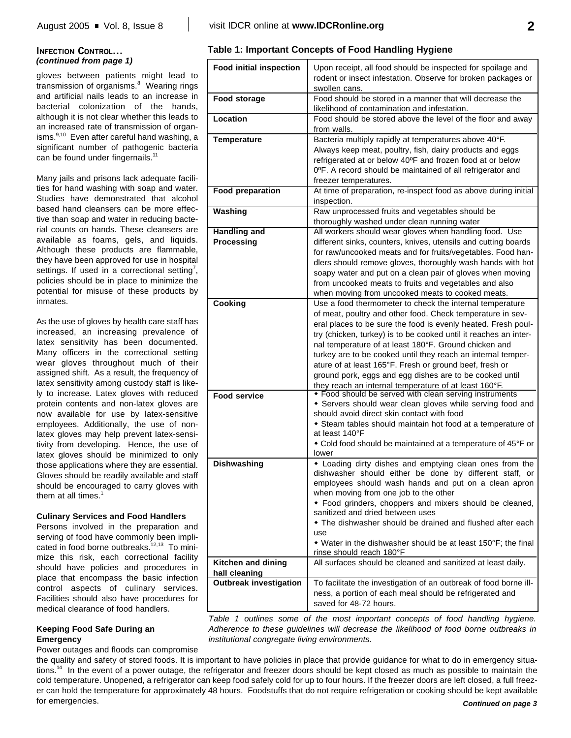### **INFECTION CONTROL...** *(continued from page 1)*

gloves between patients might lead to transmission of organisms.<sup>8</sup> Wearing rings and artificial nails leads to an increase in bacterial colonization of the hands, although it is not clear whether this leads to an increased rate of transmission of organisms.<sup>9,10</sup> Even after careful hand washing, a significant number of pathogenic bacteria can be found under fingernails.<sup>11</sup>

Many jails and prisons lack adequate facilities for hand washing with soap and water. Studies have demonstrated that alcohol based hand cleansers can be more effective than soap and water in reducing bacterial counts on hands. These cleansers are available as foams, gels, and liquids. Although these products are flammable, they have been approved for use in hospital settings. If used in a correctional setting<sup>7</sup>, policies should be in place to minimize the potential for misuse of these products by inmates.

As the use of gloves by health care staff has increased, an increasing prevalence of latex sensitivity has been documented. Many officers in the correctional setting wear gloves throughout much of their assigned shift. As a result, the frequency of latex sensitivity among custody staff is likely to increase. Latex gloves with reduced protein contents and non-latex gloves are now available for use by latex-sensitive employees. Additionally, the use of nonlatex gloves may help prevent latex-sensitivity from developing. Hence, the use of latex gloves should be minimized to only those applications where they are essential. Gloves should be readily available and staff should be encouraged to carry gloves with them at all times. 1

### **Culinary Services and Food Handlers**

Persons involved in the preparation and serving of food have commonly been implicated in food borne outbreaks.<sup>12,13</sup> To minimize this risk, each correctional facility should have policies and procedures in place that encompass the basic infection control aspects of culinary services. Facilities should also have procedures for medical clearance of food handlers.

### **Keeping Food Safe During an Emergency**

Power outages and floods can compromise

### **Table 1: Important Concepts of Food Handling Hygiene**

| <b>Food initial inspection</b> | Upon receipt, all food should be inspected for spoilage and<br>rodent or insect infestation. Observe for broken packages or       |
|--------------------------------|-----------------------------------------------------------------------------------------------------------------------------------|
| Food storage                   | swollen cans.<br>Food should be stored in a manner that will decrease the                                                         |
|                                | likelihood of contamination and infestation.                                                                                      |
| Location                       | Food should be stored above the level of the floor and away<br>from walls.                                                        |
| <b>Temperature</b>             | Bacteria multiply rapidly at temperatures above 40°F.                                                                             |
|                                | Always keep meat, poultry, fish, dairy products and eggs                                                                          |
|                                | refrigerated at or below 40°F and frozen food at or below                                                                         |
|                                | 0°F. A record should be maintained of all refrigerator and                                                                        |
|                                | freezer temperatures.                                                                                                             |
| <b>Food preparation</b>        | At time of preparation, re-inspect food as above during initial<br>inspection.                                                    |
| Washing                        | Raw unprocessed fruits and vegetables should be                                                                                   |
|                                | thoroughly washed under clean running water                                                                                       |
| <b>Handling and</b>            | All workers should wear gloves when handling food. Use                                                                            |
| Processing                     | different sinks, counters, knives, utensils and cutting boards                                                                    |
|                                | for raw/uncooked meats and for fruits/vegetables. Food han-                                                                       |
|                                | dlers should remove gloves, thoroughly wash hands with hot                                                                        |
|                                | soapy water and put on a clean pair of gloves when moving                                                                         |
|                                | from uncooked meats to fruits and vegetables and also                                                                             |
|                                | when moving from uncooked meats to cooked meats.                                                                                  |
| Cooking                        | Use a food thermometer to check the internal temperature                                                                          |
|                                | of meat, poultry and other food. Check temperature in sev-                                                                        |
|                                | eral places to be sure the food is evenly heated. Fresh poul-<br>try (chicken, turkey) is to be cooked until it reaches an inter- |
|                                | nal temperature of at least 180°F. Ground chicken and                                                                             |
|                                | turkey are to be cooked until they reach an internal temper-                                                                      |
|                                | ature of at least 165°F. Fresh or ground beef, fresh or                                                                           |
|                                | ground pork, eggs and egg dishes are to be cooked until                                                                           |
|                                | they reach an internal temperature of at least 160°F.                                                                             |
| <b>Food service</b>            | • Food should be served with clean serving instruments                                                                            |
|                                | • Servers should wear clean gloves while serving food and                                                                         |
|                                | should avoid direct skin contact with food                                                                                        |
|                                | • Steam tables should maintain hot food at a temperature of<br>at least 140°F                                                     |
|                                | • Cold food should be maintained at a temperature of 45°F or                                                                      |
|                                | lower                                                                                                                             |
| <b>Dishwashing</b>             | • Loading dirty dishes and emptying clean ones from the                                                                           |
|                                | dishwasher should either be done by different staff, or                                                                           |
|                                | employees should wash hands and put on a clean apron                                                                              |
|                                | when moving from one job to the other<br>• Food grinders, choppers and mixers should be cleaned,                                  |
|                                | sanitized and dried between uses                                                                                                  |
|                                | • The dishwasher should be drained and flushed after each                                                                         |
|                                | use                                                                                                                               |
|                                | • Water in the dishwasher should be at least 150°F; the final<br>rinse should reach 180°F                                         |
| Kitchen and dining             | All surfaces should be cleaned and sanitized at least daily.                                                                      |
| hall cleaning                  |                                                                                                                                   |
| <b>Outbreak investigation</b>  | To facilitate the investigation of an outbreak of food borne ill-                                                                 |
|                                | ness, a portion of each meal should be refrigerated and                                                                           |
|                                | saved for 48-72 hours.                                                                                                            |

*Table 1 outlines some of the most important concepts of food handling hygiene. Adherence to these guidelines will decrease the likelihood of food borne outbreaks in institutional congregate living environments.*

the quality and safety of stored foods. It is important to have policies in place that provide guidance for what to do in emergency situations.<sup>14</sup> In the event of a power outage, the refrigerator and freezer doors should be kept closed as much as possible to maintain the cold temperature. Unopened, a refrigerator can keep food safely cold for up to four hours. If the freezer doors are left closed, a full freezer can hold the temperature for approximately 48 hours. Foodstuffs that do not require refrigeration or cooking should be kept available for emergencies. *Continued on page 3*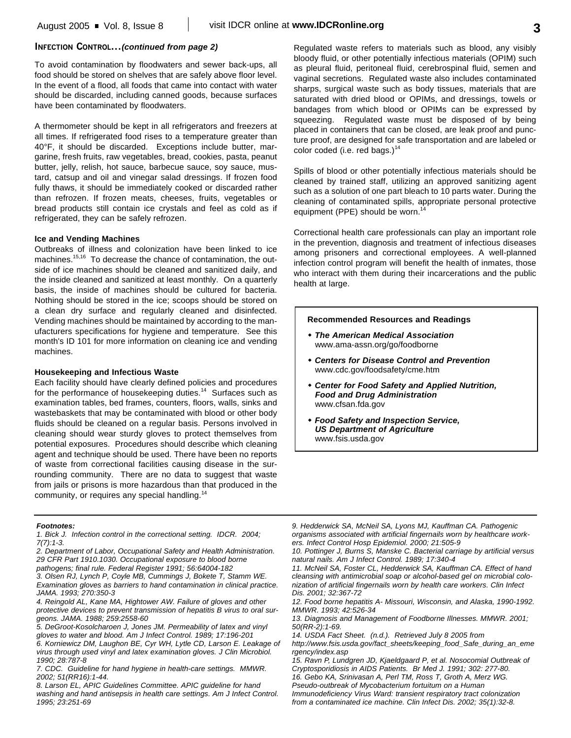### **INFECTION CONTROL...***(continued from page 2)*

To avoid contamination by floodwaters and sewer back-ups, all food should be stored on shelves that are safely above floor level. In the event of a flood, all foods that came into contact with water should be discarded, including canned goods, because surfaces have been contaminated by floodwaters.

A thermometer should be kept in all refrigerators and freezers at all times. If refrigerated food rises to a temperature greater than 40°F, it should be discarded. Exceptions include butter, margarine, fresh fruits, raw vegetables, bread, cookies, pasta, peanut butter, jelly, relish, hot sauce, barbecue sauce, soy sauce, mustard, catsup and oil and vinegar salad dressings. If frozen food fully thaws, it should be immediately cooked or discarded rather than refrozen. If frozen meats, cheeses, fruits, vegetables or bread products still contain ice crystals and feel as cold as if refrigerated, they can be safely refrozen.

#### **Ice and Vending Machines**

Outbreaks of illness and colonization have been linked to ice machines.<sup>15,16</sup> To decrease the chance of contamination, the outside of ice machines should be cleaned and sanitized daily, and the inside cleaned and sanitized at least monthly. On a quarterly basis, the inside of machines should be cultured for bacteria. Nothing should be stored in the ice; scoops should be stored on a clean dry surface and regularly cleaned and disinfected. Vending machines should be maintained by according to the manufacturers specifications for hygiene and temperature. See this month's ID 101 for more information on cleaning ice and vending machines.

### **Housekeeping and Infectious Waste**

Each facility should have clearly defined policies and procedures for the performance of housekeeping duties.<sup>14</sup> Surfaces such as examination tables, bed frames, counters, floors, walls, sinks and wastebaskets that may be contaminated with blood or other body fluids should be cleaned on a regular basis. Persons involved in cleaning should wear sturdy gloves to protect themselves from potential exposures. Procedures should describe which cleaning agent and technique should be used. There have been no reports of waste from correctional facilities causing disease in the surrounding community. There are no data to suggest that waste from jails or prisons is more hazardous than that produced in the community, or requires any special handling.<sup>14</sup>

Regulated waste refers to materials such as blood, any visibly bloody fluid, or other potentially infectious materials (OPIM) such as pleural fluid, peritoneal fluid, cerebrospinal fluid, semen and vaginal secretions. Regulated waste also includes contaminated sharps, surgical waste such as body tissues, materials that are saturated with dried blood or OPIMs, and dressings, towels or bandages from which blood or OPIMs can be expressed by squeezing. Regulated waste must be disposed of by being placed in containers that can be closed, are leak proof and puncture proof, are designed for safe transportation and are labeled or color coded (i.e. red bags.) $14$ 

Spills of blood or other potentially infectious materials should be cleaned by trained staff, utilizing an approved sanitizing agent such as a solution of one part bleach to 10 parts water. During the cleaning of contaminated spills, appropriate personal protective equipment (PPE) should be worn.<sup>14</sup>

Correctional health care professionals can play an important role in the prevention, diagnosis and treatment of infectious diseases among prisoners and correctional employees. A well-planned infection control program will benefit the health of inmates, those who interact with them during their incarcerations and the public health at large.

#### **Recommended Resources and Readings**

- **\* The American Medical Association** www.ama-assn.org/go/foodborne
- w *Centers for Disease Control and Prevention* www.cdc.gov/foodsafety/cme.htm
- **\* Center for Food Safety and Applied Nutrition,** *Food and Drug Administration* www.cfsan.fda.gov
- w *Food Safety and Inspection Service, US Department of Agriculture* www.fsis.usda.gov

#### *Footnotes:*

*1. Bick J. Infection control in the correctional setting. IDCR. 2004; 7(7):1-3.*

*2. Department of Labor, Occupational Safety and Health Administration. 29 CFR Part 1910.1030. Occupational exposure to blood borne*

*pathogens; final rule. Federal Register 1991; 56:64004-182 3. Olsen RJ, Lynch P, Coyle MB, Cummings J, Bokete T, Stamm WE. Examination gloves as barriers to hand contamination in clinical practice. JAMA. 1993; 270:350-3*

*4. Reingold AL, Kane MA, Hightower AW. Failure of gloves and other protective devices to prevent transmission of hepatitis B virus to oral surgeons. JAMA. 1988; 259:2558-60*

*5. DeGroot-Kosolcharoen J, Jones JM. Permeability of latex and vinyl gloves to water and blood. Am J Infect Control. 1989; 17:196-201*

*6. Korniewicz DM, Laughon BE, Cyr WH, Lytle CD, Larson E. Leakage of virus through used vinyl and latex examination gloves. J Clin Microbiol. 1990; 28:787-8*

*7. CDC. Guideline for hand hygiene in health-care settings. MMWR. 2002; 51(RR16):1-44.*

*8. Larson EL, APIC Guidelines Committee. APIC guideline for hand washing and hand antisepsis in health care settings. Am J Infect Control. 1995; 23:251-69*

*9. Hedderwick SA, McNeil SA, Lyons MJ, Kauffman CA. Pathogenic organisms associated with artificial fingernails worn by healthcare workers. Infect Control Hosp Epidemiol. 2000; 21:505-9*

*10. Pottinger J, Burns S, Manske C. Bacterial carriage by artificial versus natural nails. Am J Infect Control. 1989; 17:340-4*

*11. McNeil SA, Foster CL, Hedderwick SA, Kauffman CA. Effect of hand cleansing with antimicrobial soap or alcohol-based gel on microbial colonization of artificial fingernails worn by health care workers. Clin Infect Dis. 2001; 32:367-72*

*12. Food borne hepatitis A- Missouri, Wisconsin, and Alaska, 1990-1992. MMWR. 1993; 42:526-34*

*13. Diagnosis and Management of Foodborne Illnesses. MMWR. 2001; 50(RR-2):1-69.*

*14. USDA Fact Sheet. (n.d.). Retrieved July 8 2005 from*

*http://www.fsis.usda.gov/fact\_sheets/keeping\_food\_Safe\_during\_an\_eme rgency/index.asp*

*15. Ravn P, Lundgren JD, Kjaeldgaard P, et al. Nosocomial Outbreak of Cryptosporidiosis in AIDS Patients. Br Med J. 1991; 302: 277-80.*

*16. Gebo KA, Srinivasan A, Perl TM, Ross T, Groth A, Merz WG. Pseudo-outbreak of Mycobacterium fortuitum on a Human Immunodeficiency Virus Ward: transient respiratory tract colonization from a contaminated ice machine. Clin Infect Dis. 2002; 35(1):32-8.*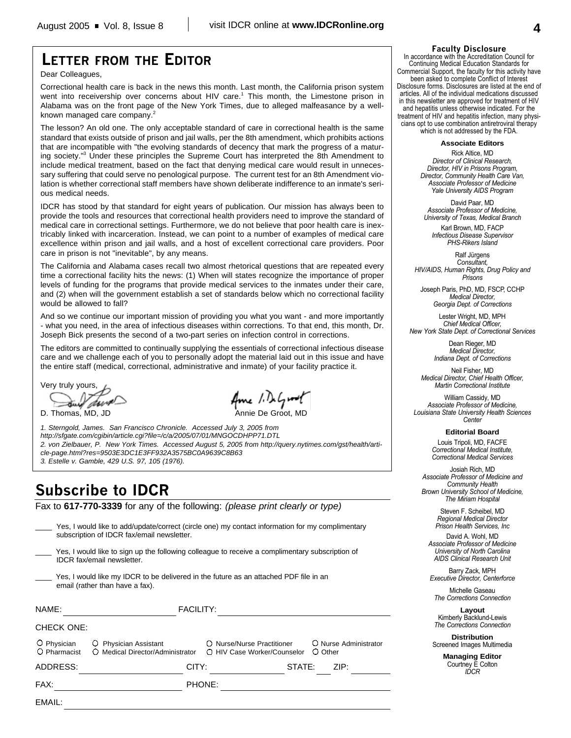# **LETTER FROM THE EDITOR**

Dear Colleagues,

Correctional health care is back in the news this month. Last month, the California prison system went into receivership over concerns about HIV care.<sup>1</sup> This month, the Limestone prison in Alabama was on the front page of the New York Times, due to alleged malfeasance by a wellknown managed care company. 2

The lesson? An old one. The only acceptable standard of care in correctional health is the same standard that exists outside of prison and jail walls, per the 8th amendment, which prohibits actions that are incompatible with "the evolving standards of decency that mark the progress of a maturing society."<sup>3</sup> Under these principles the Supreme Court has interpreted the 8th Amendment to include medical treatment, based on the fact that denying medical care would result in unnecessary suffering that could serve no penological purpose. The current test for an 8th Amendment violation is whether correctional staff members have shown deliberate indifference to an inmate's serious medical needs.

IDCR has stood by that standard for eight years of publication. Our mission has always been to provide the tools and resources that correctional health providers need to improve the standard of medical care in correctional settings. Furthermore, we do not believe that poor health care is inextricably linked with incarceration. Instead, we can point to a number of examples of medical care excellence within prison and jail walls, and a host of excellent correctional care providers. Poor care in prison is not "inevitable", by any means.

The California and Alabama cases recall two almost rhetorical questions that are repeated every time a correctional facility hits the news: (1) When will states recognize the importance of proper levels of funding for the programs that provide medical services to the inmates under their care, and (2) when will the government establish a set of standards below which no correctional facility would be allowed to fall?

And so we continue our important mission of providing you what you want - and more importantly - what you need, in the area of infectious diseases within corrections. To that end, this month, Dr. Joseph Bick presents the second of a two-part series on infection control in corrections.

The editors are committed to continually supplying the essentials of correctional infectious disease care and we challenge each of you to personally adopt the material laid out in this issue and have the entire staff (medical, correctional, administrative and inmate) of your facility practice it.

Very truly yours, dove. A ....

Ame 1. DeGrant

D. Thomas, MD, JD Annie De Groot, MD

*1. Sterngold, James. San Francisco Chronicle. Accessed July 3, 2005 from http://sfgate.com/cgibin/article.cgi?file=/c/a/2005/07/01/MNGOCDHPP71.DTL 2. von Zielbauer, P. New York Times. Accessed August 5, 2005 from http://query.nytimes.com/gst/health/article-page.html?res=9503E3DC1E3FF932A3575BC0A9639C8B63 3. Estelle v. Gamble, 429 U.S. 97, 105 (1976).*

# **Subscribe to IDCR**

Fax to **617-770-3339** for any of the following: *(please print clearly or type)*

| Yes, I would like to add/update/correct (circle one) my contact information for my complimentary |
|--------------------------------------------------------------------------------------------------|
| subscription of IDCR fax/email newsletter.                                                       |

- Yes, I would like to sign up the following colleague to receive a complimentary subscription of IDCR fax/email newsletter.
- Yes, I would like my IDCR to be delivered in the future as an attached PDF file in an email (rather than have a fax).

| NAME:             |                                                                        | <b>FACILITY:</b> |                                                           |        |                                    |
|-------------------|------------------------------------------------------------------------|------------------|-----------------------------------------------------------|--------|------------------------------------|
| <b>CHECK ONE:</b> |                                                                        |                  |                                                           |        |                                    |
| O Physician       | O Physician Assistant<br>O Pharmacist O Medical Director/Administrator |                  | O Nurse/Nurse Practitioner<br>○ HIV Case Worker/Counselor |        | O Nurse Administrator<br>$O$ Other |
| ADDRESS:          |                                                                        | CITY:            |                                                           | STATE: | ZIP:                               |
| FAX:              |                                                                        | PHONE:           |                                                           |        |                                    |
| EMAIL:            |                                                                        |                  |                                                           |        |                                    |

#### **Faculty Disclosure**

In accordance with the Accreditation Council for Continuing Medical Education Standards for Commercial Support, the faculty for this activity have been asked to complete Conflict of Interest Disclosure forms. Disclosures are listed at the end of articles. All of the individual medications discussed in this newsletter are approved for treatment of HIV and hepatitis unless otherwise indicated. For the treatment of HIV and hepatitis infection, many physicians opt to use combination antiretroviral therapy which is not addressed by the FDA.

**Associate Editors**

Rick Altice, MD *Director of Clinical Research, Director, HIV in Prisons Program, Director, Community Health Care Van, Associate Professor of Medicine Yale University AIDS Program*

David Paar, MD *Associate Professor of Medicine, University of Texas, Medical Branch*

Karl Brown, MD, FACP *Infectious Disease Supervisor PHS-Rikers Island*

Ralf Jürgens *Consultant, HIV/AIDS, Human Rights, Drug Policy and Prisons*

Joseph Paris, PhD, MD, FSCP, CCHP *Medical Director, Georgia Dept. of Corrections*

Lester Wright, MD, MPH *Chief Medical Officer, New York State Dept. of Correctional Services*

> Dean Rieger, MD *Medical Director, Indiana Dept. of Corrections*

Neil Fisher, MD *Medical Director, Chief Health Officer, Martin Correctional Institute*

William Cassidy, MD *Associate Professor of Medicine, Louisiana State University Health Sciences Center*

**Editorial Board**

Louis Tripoli, MD, FACFE *Correctional Medical Institute, Correctional Medical Services*

Josiah Rich, MD *Associate Professor of Medicine and Community Health Brown University School of Medicine, The Miriam Hospital*

> Steven F. Scheibel, MD *Regional Medical Director Prison Health Services, Inc*

David A. Wohl, MD *Associate Professor of Medicine University of North Carolina AIDS Clinical Research Unit*

Barry Zack, MPH *Executive Director, Centerforce*

Michelle Gaseau *The Corrections Connection*

**Layout** Kimberly Backlund-Lewis *The Corrections Connection*

**Distribution** Screened Images Multimedia

> **Managing Editor** Courtney E Colton *IDCR*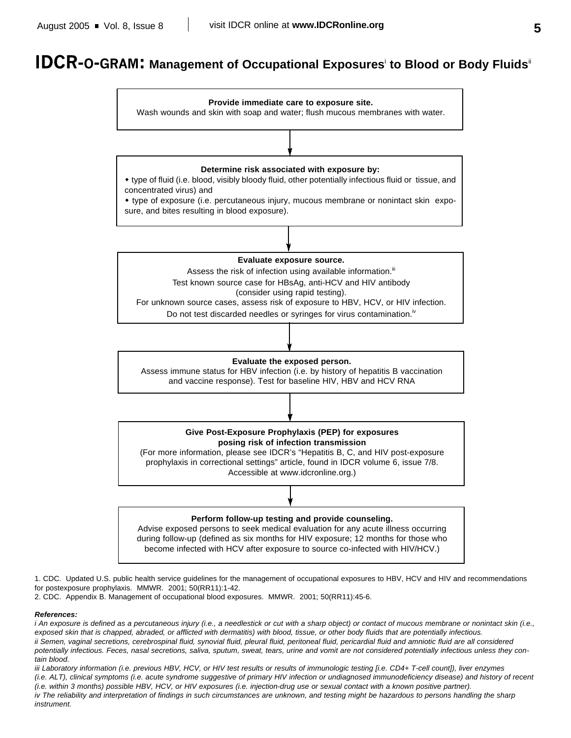# **IDCR-O-GRAM: Management of Occupational Exposures to Blood or Body Fluids<sup>®</sup>**



1. CDC. Updated U.S. public health service guidelines for the management of occupational exposures to HBV, HCV and HIV and recommendations for postexposure prophylaxis. MMWR. 2001; 50(RR11):1-42.

2. CDC. Appendix B. Management of occupational blood exposures. MMWR. 2001; 50(RR11):45-6.

#### *References:*

*i An exposure is defined as a percutaneous injury (i.e., a needlestick or cut with a sharp object) or contact of mucous membrane or nonintact skin (i.e., exposed skin that is chapped, abraded, or afflicted with dermatitis) with blood, tissue, or other body fluids that are potentially infectious. ii Semen, vaginal secretions, cerebrospinal fluid, synovial fluid, pleural fluid, peritoneal fluid, pericardial fluid and amniotic fluid are all considered potentially infectious. Feces, nasal secretions, saliva, sputum, sweat, tears, urine and vomit are not considered potentially infectious unless they contain blood.*

*iii Laboratory information (i.e. previous HBV, HCV, or HIV test results or results of immunologic testing [i.e. CD4+ T-cell count]), liver enzymes (i.e. ALT), clinical symptoms (i.e. acute syndrome suggestive of primary HIV infection or undiagnosed immunodeficiency disease) and history of recent (i.e. within 3 months) possible HBV, HCV, or HIV exposures (i.e. injection-drug use or sexual contact with a known positive partner). iv The reliability and interpretation of findings in such circumstances are unknown, and testing might be hazardous to persons handling the sharp instrument.*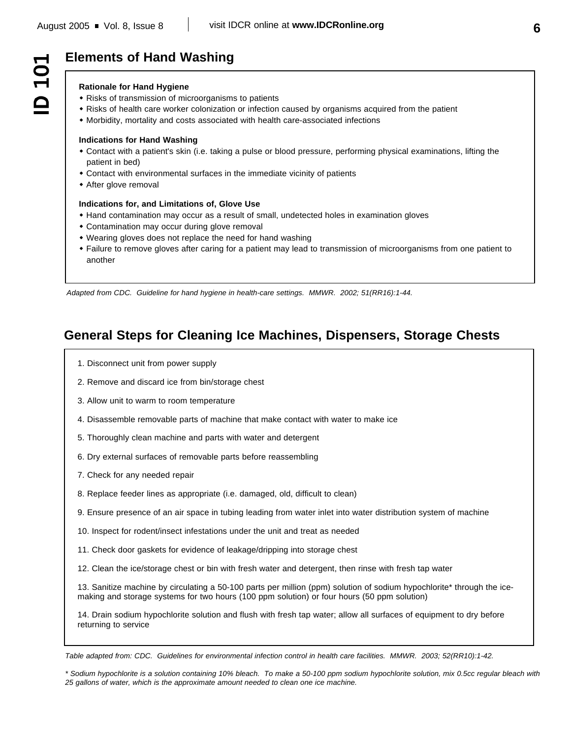# **Elements of Hand Washing**

### **Rationale for Hand Hygiene**

- Risks of transmission of microorganisms to patients
- Risks of health care worker colonization or infection caused by organisms acquired from the patient
- w Morbidity, mortality and costs associated with health care-associated infections

### **Indications for Hand Washing**

- Contact with a patient's skin (i.e. taking a pulse or blood pressure, performing physical examinations, lifting the patient in bed)
- Contact with environmental surfaces in the immediate vicinity of patients
- After glove removal

### **Indications for, and Limitations of, Glove Use**

- Hand contamination may occur as a result of small, undetected holes in examination gloves
- Contamination may occur during glove removal
- Wearing gloves does not replace the need for hand washing
- w Failure to remove gloves after caring for a patient may lead to transmission of microorganisms from one patient to another

*Adapted from CDC. Guideline for hand hygiene in health-care settings. MMWR. 2002; 51(RR16):1-44.*

## **General Steps for Cleaning Ice Machines, Dispensers, Storage Chests**

- 1. Disconnect unit from power supply
- 2. Remove and discard ice from bin/storage chest
- 3. Allow unit to warm to room temperature
- 4. Disassemble removable parts of machine that make contact with water to make ice
- 5. Thoroughly clean machine and parts with water and detergent
- 6. Dry external surfaces of removable parts before reassembling
- 7. Check for any needed repair
- 8. Replace feeder lines as appropriate (i.e. damaged, old, difficult to clean)
- 9. Ensure presence of an air space in tubing leading from water inlet into water distribution system of machine
- 10. Inspect for rodent/insect infestations under the unit and treat as needed
- 11. Check door gaskets for evidence of leakage/dripping into storage chest
- 12. Clean the ice/storage chest or bin with fresh water and detergent, then rinse with fresh tap water

13. Sanitize machine by circulating a 50-100 parts per million (ppm) solution of sodium hypochlorite\* through the icemaking and storage systems for two hours (100 ppm solution) or four hours (50 ppm solution)

14. Drain sodium hypochlorite solution and flush with fresh tap water; allow all surfaces of equipment to dry before returning to service

*Table adapted from: CDC. Guidelines for environmental infection control in health care facilities. MMWR. 2003; 52(RR10):1-42.*

*\* Sodium hypochlorite is a solution containing 10% bleach. To make a 50-100 ppm sodium hypochlorite solution, mix 0.5cc regular bleach with 25 gallons of water, which is the approximate amount needed to clean one ice machine.*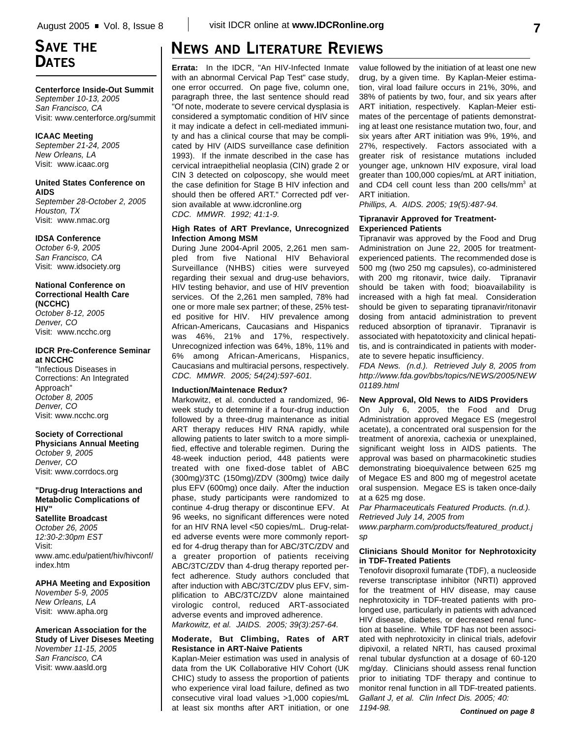# **SAVE THE DATES**

**Centerforce Inside-Out Summit** *September 10-13, 2005 San Francisco, CA* Visit: www.centerforce.org/summit

#### **ICAAC Meeting**

*September 21-24, 2005 New Orleans, LA* Visit: www.icaac.org

#### **United States Conference on AIDS**

*September 28-October 2, 2005 Houston, TX* Visit: www.nmac.org

### **IDSA Conference**

*October 6-9, 2005 San Francisco, CA* Visit: www.idsociety.org

### **National Conference on Correctional Health Care**

**(NCCHC)** *October 8-12, 2005 Denver, CO* Visit: www.ncchc.org

#### **IDCR Pre-Conference Seminar at NCCHC**

"Infectious Diseases in Corrections: An Integrated Approach" *October 8, 2005 Denver, CO* Visit: www.ncchc.org

### **Society of Correctional**

**Physicians Annual Meeting** *October 9, 2005 Denver, CO* Visit: www.corrdocs.org

#### **"Drug-drug Interactions and Metabolic Complications of HIV"**

**Satellite Broadcast** *October 26, 2005 12:30-2:30pm EST* Visit:

www.amc.edu/patient/hiv/hivconf/ index.htm

### **APHA Meeting and Exposition**

*November 5-9, 2005 New Orleans, LA* Visit: www.apha.org

#### **American Association for the Study of Liver Diseses Meeting** *November 11-15, 2005 San Francisco, CA*

Visit: www.aasld.org

# **NEWS AND LITERATURE REVIEWS**

**Errata:** In the IDCR, "An HIV-Infected Inmate with an abnormal Cervical Pap Test" case study, one error occurred. On page five, column one, paragraph three, the last sentence should read "Of note, moderate to severe cervical dysplasia is considered a symptomatic condition of HIV since it may indicate a defect in cell-mediated immunity and has a clinical course that may be complicated by HIV (AIDS surveillance case definition 1993). If the inmate described in the case has cervical intraepithelial neoplasia (CIN) grade 2 or CIN 3 detected on colposcopy, she would meet the case definition for Stage B HIV infection and should then be offered ART." Corrected pdf version available at www.idcronline.org *CDC. MMWR. 1992; 41:1-9.*

### **High Rates of ART Prevlance, Unrecognized Infection Among MSM**

During June 2004-April 2005, 2,261 men sampled from five National HIV Behavioral Surveillance (NHBS) cities were surveyed regarding their sexual and drug-use behaviors, HIV testing behavior, and use of HIV prevention services. Of the 2,261 men sampled, 78% had one or more male sex partner; of these, 25% tested positive for HIV. HIV prevalence among African-Americans, Caucasians and Hispanics was 46%, 21% and 17%, respectively. Unrecognized infection was 64%, 18%, 11% and 6% among African-Americans, Hispanics, Caucasians and multiracial persons, respectively. *CDC. MMWR. 2005; 54(24):597-601.*

### **Induction/Maintenace Redux?**

Markowitz, et al. conducted a randomized, 96 week study to determine if a four-drug induction followed by a three-drug maintenance as initial ART therapy reduces HIV RNA rapidly, while allowing patients to later switch to a more simplified, effective and tolerable regimen. During the 48-week induction period, 448 patients were treated with one fixed-dose tablet of ABC (300mg)/3TC (150mg)/ZDV (300mg) twice daily plus EFV (600mg) once daily. After the induction phase, study participants were randomized to continue 4-drug therapy or discontinue EFV. At 96 weeks, no significant differences were noted for an HIV RNA level <50 copies/mL. Drug-related adverse events were more commonly reported for 4-drug therapy than for ABC/3TC/ZDV and a greater proportion of patients receiving ABC/3TC/ZDV than 4-drug therapy reported perfect adherence. Study authors concluded that after induction with ABC/3TC/ZDV plus EFV, simplification to ABC/3TC/ZDV alone maintained virologic control, reduced ART-associated adverse events and improved adherence. *Markowitz, et al. JAIDS. 2005; 39(3):257-64.*

### **Moderate, But Climbing, Rates of ART Resistance in ART-Naive Patients**

Kaplan-Meier estimation was used in analysis of data from the UK Collaborative HIV Cohort (UK CHIC) study to assess the proportion of patients who experience viral load failure, defined as two consecutive viral load values >1,000 copies/mL at least six months after ART initiation, or one value followed by the initiation of at least one new drug, by a given time. By Kaplan-Meier estimation, viral load failure occurs in 21%, 30%, and 38% of patients by two, four, and six years after ART initiation, respectively. Kaplan-Meier estimates of the percentage of patients demonstrating at least one resistance mutation two, four, and six years after ART initiation was 9%, 19%, and 27%, respectively. Factors associated with a greater risk of resistance mutations included younger age, unknown HIV exposure, viral load greater than 100,000 copies/mL at ART initiation, and CD4 cell count less than 200 cells/mm<sup>3</sup> at ART initiation.

*Phillips, A. AIDS. 2005; 19(5):487-94.*

### **Tipranavir Approved for Treatment-Experienced Patients**

Tipranavir was approved by the Food and Drug Administration on June 22, 2005 for treatmentexperienced patients. The recommended dose is 500 mg (two 250 mg capsules), co-administered with 200 mg ritonavir, twice daily. Tipranavir should be taken with food; bioavailability is increased with a high fat meal. Consideration should be given to separating tipranavir/ritonavir dosing from antacid administration to prevent reduced absorption of tipranavir. Tipranavir is associated with hepatotoxicity and clinical hepatitis, and is contraindicated in patients with moderate to severe hepatic insufficiency.

*FDA News. (n.d.). Retrieved July 8, 2005 from http://www.fda.gov/bbs/topics/NEWS/2005/NEW 01189.html*

### **New Approval, Old News to AIDS Providers**

On July 6, 2005, the Food and Drug Administration approved Megace ES (megestrol acetate), a concentrated oral suspension for the treatment of anorexia, cachexia or unexplained, significant weight loss in AIDS patients. The approval was based on pharmacokinetic studies demonstrating bioequivalence between 625 mg of Megace ES and 800 mg of megestrol acetate oral suspension. Megace ES is taken once-daily at a 625 mg dose.

*Par Pharmaceuticals Featured Products. (n.d.). Retrieved July 14, 2005 from*

*www.parpharm.com/products/featured\_product.j sp*

### **Clinicians Should Monitor for Nephrotoxicity in TDF-Treated Patients**

Tenofovir disoproxil fumarate (TDF), a nucleoside reverse transcriptase inhibitor (NRTI) approved for the treatment of HIV disease, may cause nephrotoxicity in TDF-treated patients with prolonged use, particularly in patients with advanced HIV disease, diabetes, or decreased renal function at baseline. While TDF has not been associated with nephrotoxicity in clinical trials, adefovir dipivoxil, a related NRTI, has caused proximal renal tubular dysfunction at a dosage of 60-120 mg/day. Clinicians should assess renal function prior to initiating TDF therapy and continue to monitor renal function in all TDF-treated patients. *Gallant J, et al. Clin Infect Dis. 2005; 40: 1194-98.*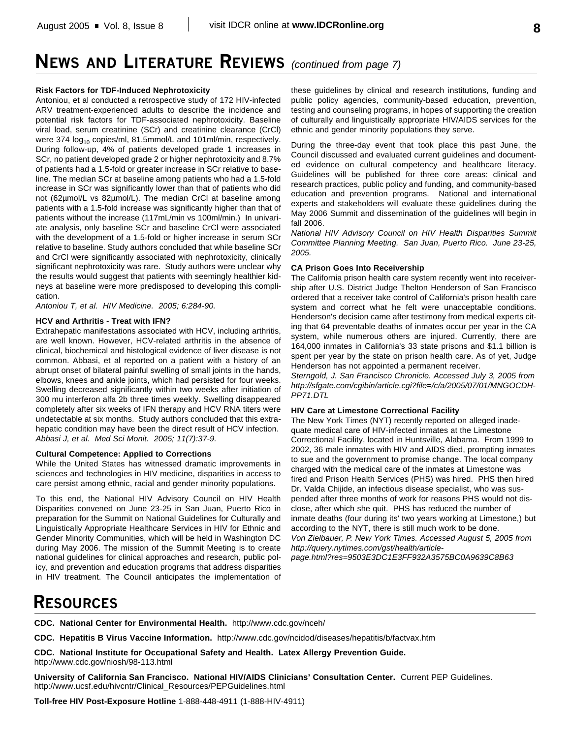# **NEWS AND LITERATURE REVIEWS** *(continued from page 7)*

### **Risk Factors for TDF-Induced Nephrotoxicity**

Antoniou, et al conducted a retrospective study of 172 HIV-infected ARV treatment-experienced adults to describe the incidence and potential risk factors for TDF-associated nephrotoxicity. Baseline viral load, serum creatinine (SCr) and creatinine clearance (CrCl) were 374 log<sub>10</sub> copies/ml, 81.5mmol/L and 101ml/min, respectively. During follow-up, 4% of patients developed grade 1 increases in SCr, no patient developed grade 2 or higher nephrotoxicity and 8.7% of patients had a 1.5-fold or greater increase in SCr relative to baseline. The median SCr at baseline among patients who had a 1.5-fold increase in SCr was significantly lower than that of patients who did not (62µmol/L vs 82µmol/L). The median CrCl at baseline among patients with a 1.5-fold increase was significantly higher than that of patients without the increase (117mL/min vs 100ml/min.) In univariate analysis, only baseline SCr and baseline CrCl were associated with the development of a 1.5-fold or higher increase in serum SCr relative to baseline. Study authors concluded that while baseline SCr and CrCl were significantly associated with nephrotoxicity, clinically significant nephrotoxicity was rare. Study authors were unclear why the results would suggest that patients with seemingly healthier kidneys at baseline were more predisposed to developing this complication.

*Antoniou T, et al. HIV Medicine. 2005; 6:284-90.*

#### **HCV and Arthritis - Treat with IFN?**

Extrahepatic manifestations associated with HCV, including arthritis, are well known. However, HCV-related arthritis in the absence of clinical, biochemical and histological evidence of liver disease is not common. Abbasi, et al reported on a patient with a history of an abrupt onset of bilateral painful swelling of small joints in the hands, elbows, knees and ankle joints, which had persisted for four weeks. Swelling decreased significantly within two weeks after initiation of 300 mu interferon alfa 2b three times weekly. Swelling disappeared completely after six weeks of IFN therapy and HCV RNA titers were undetectable at six months. Study authors concluded that this extrahepatic condition may have been the direct result of HCV infection. *Abbasi J, et al. Med Sci Monit. 2005; 11(7):37-9.*

### **Cultural Competence: Applied to Corrections**

While the United States has witnessed dramatic improvements in sciences and technologies in HIV medicine, disparities in access to care persist among ethnic, racial and gender minority populations.

To this end, the National HIV Advisory Council on HIV Health Disparities convened on June 23-25 in San Juan, Puerto Rico in preparation for the Summit on National Guidelines for Culturally and Linguistically Appropriate Healthcare Services in HIV for Ethnic and Gender Minority Communities, which will be held in Washington DC during May 2006. The mission of the Summit Meeting is to create national guidelines for clinical approaches and research, public policy, and prevention and education programs that address disparities in HIV treatment. The Council anticipates the implementation of these guidelines by clinical and research institutions, funding and public policy agencies, community-based education, prevention, testing and counseling programs, in hopes of supporting the creation of culturally and linguistically appropriate HIV/AIDS services for the ethnic and gender minority populations they serve.

During the three-day event that took place this past June, the Council discussed and evaluated current guidelines and documented evidence on cultural competency and healthcare literacy. Guidelines will be published for three core areas: clinical and research practices, public policy and funding, and community-based education and prevention programs. National and international experts and stakeholders will evaluate these guidelines during the May 2006 Summit and dissemination of the guidelines will begin in fall 2006.

*National HIV Advisory Council on HIV Health Disparities Summit Committee Planning Meeting. San Juan, Puerto Rico. June 23-25, 2005.*

#### **CA Prison Goes Into Receivership**

The California prison health care system recently went into receivership after U.S. District Judge Thelton Henderson of San Francisco ordered that a receiver take control of California's prison health care system and correct what he felt were unacceptable conditions. Henderson's decision came after testimony from medical experts citing that 64 preventable deaths of inmates occur per year in the CA system, while numerous others are injured. Currently, there are 164,000 inmates in California's 33 state prisons and \$1.1 billion is spent per year by the state on prison health care. As of yet, Judge Henderson has not appointed a permanent receiver.

*Sterngold, J. San Francisco Chronicle. Accessed July 3, 2005 from http://sfgate.com/cgibin/article.cgi?file=/c/a/2005/07/01/MNGOCDH-PP71.DTL*

#### **HIV Care at Limestone Correctional Facility**

The New York Times (NYT) recently reported on alleged inadequate medical care of HIV-infected inmates at the Limestone Correctional Facility, located in Huntsville, Alabama. From 1999 to 2002, 36 male inmates with HIV and AIDS died, prompting inmates to sue and the government to promise change. The local company charged with the medical care of the inmates at Limestone was fired and Prison Health Services (PHS) was hired. PHS then hired Dr. Valda Chijide, an infectious disease specialist, who was suspended after three months of work for reasons PHS would not disclose, after which she quit. PHS has reduced the number of inmate deaths (four during its' two years working at Limestone,) but according to the NYT, there is still much work to be done. *Von Zielbauer, P. New York Times. Accessed August 5, 2005 from http://query.nytimes.com/gst/health/article-*

*page.html?res=9503E3DC1E3FF932A3575BC0A9639C8B63*

# **RESOURCES**

**CDC. National Center for Environmental Health.** http://www.cdc.gov/nceh/

**CDC. Hepatitis B Virus Vaccine Information.** http://www.cdc.gov/ncidod/diseases/hepatitis/b/factvax.htm

**CDC. National Institute for Occupational Safety and Health. Latex Allergy Prevention Guide.**  http://www.cdc.gov/niosh/98-113.html

**University of California San Francisco. National HIV/AIDS Clinicians' Consultation Center.** Current PEP Guidelines. http://www.ucsf.edu/hivcntr/Clinical\_Resources/PEPGuidelines.html

**Toll-free HIV Post-Exposure Hotline** 1-888-448-4911 (1-888-HIV-4911)